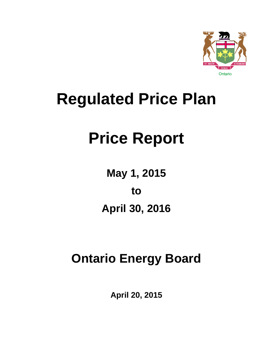

## **Regulated Price Plan**

# **Price Report**

**May 1, 2015 to April 30, 2016** 

## **Ontario Energy Board**

**April 20, 2015**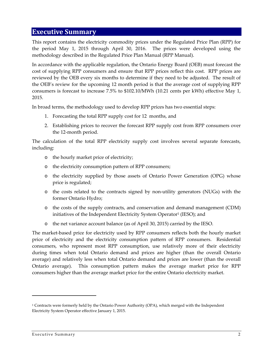#### **Executive Summary**

This report contains the electricity commodity prices under the Regulated Price Plan (RPP) for the period May 1, 2015 through April 30, 2016. The prices were developed using the methodology described in the Regulated Price Plan Manual (RPP Manual).

In accordance with the applicable regulation, the Ontario Energy Board (OEB) must forecast the cost of supplying RPP consumers and ensure that RPP prices reflect this cost. RPP prices are reviewed by the OEB every six months to determine if they need to be adjusted. The result of the OEB's review for the upcoming 12 month period is that the average cost of supplying RPP consumers is forecast to increase 7.5% to \$102.10/MWh (10.21 cents per kWh) effective May 1, 2015.

In broad terms, the methodology used to develop RPP prices has two essential steps:

- 1. Forecasting the total RPP supply cost for 12 months, and
- 2. Establishing prices to recover the forecast RPP supply cost from RPP consumers over the 12‐month period.

The calculation of the total RPP electricity supply cost involves several separate forecasts, including:

- o the hourly market price of electricity;
- o the electricity consumption pattern of RPP consumers;
- o the electricity supplied by those assets of Ontario Power Generation (OPG) whose price is regulated;
- o the costs related to the contracts signed by non‐utility generators (NUGs) with the former Ontario Hydro;
- o the costs of the supply contracts, and conservation and demand management (CDM) initiatives of the Independent Electricity System Operator<sup>1</sup> (IESO); and
- o the net variance account balance (as of April 30, 2015) carried by the IESO.

The market-based price for electricity used by RPP consumers reflects both the hourly market price of electricity and the electricity consumption pattern of RPP consumers. Residential consumers, who represent most RPP consumption, use relatively more of their electricity during times when total Ontario demand and prices are higher (than the overall Ontario average) and relatively less when total Ontario demand and prices are lower (than the overall Ontario average). This consumption pattern makes the average market price for RPP consumers higher than the average market price for the entire Ontario electricity market.

<sup>1</sup> Contracts were formerly held by the Ontario Power Authority (OPA), which merged with the Independent Electricity System Operator effective January 1, 2015.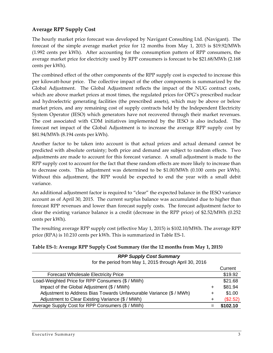#### **Average RPP Supply Cost**

The hourly market price forecast was developed by Navigant Consulting Ltd. (Navigant). The forecast of the simple average market price for 12 months from May 1, 2015 is \$19.92/MWh (1.992 cents per kWh). After accounting for the consumption pattern of RPP consumers, the average market price for electricity used by RPP consumers is forecast to be \$21.68/MWh (2.168 cents per kWh).

The combined effect of the other components of the RPP supply cost is expected to increase this per kilowatt‐hour price. The collective impact of the other components is summarized by the Global Adjustment. The Global Adjustment reflects the impact of the NUG contract costs, which are above market prices at most times, the regulated prices for OPG's prescribed nuclear and hydroelectric generating facilities (the prescribed assets), which may be above or below market prices, and any remaining cost of supply contracts held by the Independent Electricity System Operator (IESO) which generators have not recovered through their market revenues. The cost associated with CDM initiatives implemented by the IESO is also included. The forecast net impact of the Global Adjustment is to increase the average RPP supply cost by \$81.94/MWh (8.194 cents per kWh).

Another factor to be taken into account is that actual prices and actual demand cannot be predicted with absolute certainty; both price and demand are subject to random effects. Two adjustments are made to account for this forecast variance. A small adjustment is made to the RPP supply cost to account for the fact that these random effects are more likely to increase than to decrease costs. This adjustment was determined to be \$1.00/MWh (0.100 cents per kWh). Without this adjustment, the RPP would be expected to end the year with a small debit variance.

An additional adjustment factor is required to "clear" the expected balance in the IESO variance account as of April 30, 2015. The current surplus balance was accumulated due to higher than forecast RPP revenues and lower than forecast supply costs. The forecast adjustment factor to clear the existing variance balance is a credit (decrease in the RPP price) of \$2.52/MWh (0.252 cents per kWh).

The resulting average RPP supply cost (effective May 1, 2015) is \$102.10/MWh. The average RPP price (RPA) is 10.210 cents per kWh. This is summarized in Table ES‐1.

| <b>RPP Supply Cost Summary</b>                                      |           |          |
|---------------------------------------------------------------------|-----------|----------|
| for the period from May 1, 2015 through April 30, 2016              |           |          |
|                                                                     |           | Current  |
| <b>Forecast Wholesale Electricity Price</b>                         |           | \$19.92  |
| Load-Weighted Price for RPP Consumers (\$ / MWh)                    |           | \$21.68  |
| Impact of the Global Adjustment (\$ / MWh)                          | +         | \$81.94  |
| Adjustment to Address Bias Towards Unfavourable Variance (\$ / MWh) | ÷         | \$1.00   |
| Adjustment to Clear Existing Variance (\$ / MWh)                    | $\ddot{}$ | (\$2.52) |
| Average Supply Cost for RPP Consumers (\$ / MWh)                    | =         | \$102.10 |

#### **Table ES‐1: Average RPP Supply Cost Summary (for the 12 months from May 1, 2015)**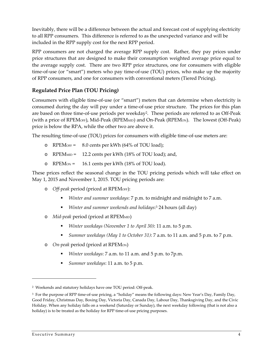Inevitably, there will be a difference between the actual and forecast cost of supplying electricity to all RPP consumers. This difference is referred to as the unexpected variance and will be included in the RPP supply cost for the next RPP period.

RPP consumers are not charged the average RPP supply cost. Rather, they pay prices under price structures that are designed to make their consumption weighted average price equal to the average supply cost. There are two RPP price structures, one for consumers with eligible time-of-use (or "smart") meters who pay time-of-use (TOU) prices, who make up the majority of RPP consumers, and one for consumers with conventional meters (Tiered Pricing).

#### **Regulated Price Plan (TOU Pricing)**

Consumers with eligible time‐of‐use (or "smart") meters that can determine when electricity is consumed during the day will pay under a time‐of‐use price structure. The prices for this plan are based on three time-of-use periods per weekday<sup>2</sup>. These periods are referred to as Off-Peak (with a price of RPEMOFF), Mid-Peak (RPEMMID) and On-Peak (RPEMON). The lowest (Off-Peak) price is below the RPA, while the other two are above it.

The resulting time-of-use (TOU) prices for consumers with eligible time-of-use meters are:

- o RPEMOFF = 8.0 cents per kWh (64% of TOU load);
- o RPEMMID = 12.2 cents per kWh (18% of TOU load); and,
- o RPEMON = 16.1 cents per kWh (18% of TOU load).

These prices reflect the seasonal change in the TOU pricing periods which will take effect on May 1, 2015 and November 1, 2015. TOU pricing periods are:

- o *Off‐peak* period (priced at RPEMOFF):
	- *Winter and summer weekdays*: 7 p.m. to midnight and midnight to 7 a.m.
	- *Winter and summer weekends and holidays*:<sup>3</sup> 24 hours (all day)
- o *Mid‐peak* period (priced at RPEMMID)
	- *Winter weekdays (November 1 to April 30)*: 11 a.m. to 5 p.m.
	- *Summer weekdays (May 1 to October 31)*: 7 a.m. to 11 a.m. and 5 p.m. to 7 p.m.
- o *On‐peak* period (priced at RPEMON)
	- *Winter weekdays*: 7 a.m. to 11 a.m. and 5 p.m. to 7p.m.
	- *Summer weekdays*: 11 a.m. to 5 p.m.

<sup>2</sup> Weekends and statutory holidays have one TOU period: Off‐peak.

<sup>3</sup> For the purpose of RPP time‐of‐use pricing, a "holiday" means the following days: New Year's Day, Family Day, Good Friday, Christmas Day, Boxing Day, Victoria Day, Canada Day, Labour Day, Thanksgiving Day, and the Civic Holiday. When any holiday falls on a weekend (Saturday or Sunday), the next weekday following (that is not also a holiday) is to be treated as the holiday for RPP time-of-use pricing purposes.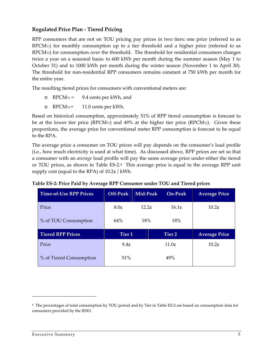#### **Regulated Price Plan ‐ Tiered Pricing**

RPP consumers that are not on TOU pricing pay prices in two tiers; one price (referred to as  $RPCM<sub>T1</sub>$ ) for monthly consumption up to a tier threshold and a higher price (referred to as  $RPCM<sub>T2</sub>$ ) for consumption over the threshold. The threshold for residential consumers changes twice a year on a seasonal basis: to 600 kWh per month during the summer season (May 1 to October 31) and to 1000 kWh per month during the winter season (November 1 to April 30). The threshold for non-residential RPP consumers remains constant at 750 kWh per month for the entire year.

The resulting tiered prices for consumers with conventional meters are:

- o  $RPCM_{T1} = 9.4$  cents per kWh, and
- o  $RPCM_{T2}$  = 11.0 cents per kWh.

Based on historical consumption, approximately 51% of RPP tiered consumption is forecast to be at the lower tier price (RPCM $\pi$ ) and 49% at the higher tier price (RPCM $\pi$ 2). Given these proportions, the average price for conventional meter RPP consumption is forecast to be equal to the RPA.

The average price a consumer on TOU prices will pay depends on the consumer's load profile (i.e., how much electricity is used at what time). As discussed above, RPP prices are set so that a consumer with an *average* load profile will pay the same average price under either the tiered or TOU prices, as shown in Table ES‐2.<sup>4</sup> This average price is equal to the average RPP unit supply cost (equal to the RPA) of 10.2¢ / kWh.

| <b>Time-of-Use RPP Prices</b> | Off-Peak          | Mid-Peak | <b>On-Peak</b>    | <b>Average Price</b> |
|-------------------------------|-------------------|----------|-------------------|----------------------|
| Price                         | 8.0 <sub>¢</sub>  | 12.2c    | 16.1 <sub>¢</sub> | 10.2 <sub>¢</sub>    |
| % of TOU Consumption          | 64%               | 18%      | 18%               |                      |
| <b>Tiered RPP Prices</b>      | Tier <sub>1</sub> |          | Tier 2            | <b>Average Price</b> |
| Price                         | 9.4c              |          | 11.0 <sub>¢</sub> | 10.2 <sub>¢</sub>    |
| % of Tiered Consumption       | 51%               |          | 49%               |                      |

| Table ES-2: Price Paid by Average RPP Consumer under TOU and Tiered prices |  |
|----------------------------------------------------------------------------|--|
|                                                                            |  |

<sup>4</sup> The percentages of total consumption by TOU period and by Tier in Table ES‐2 are based on consumption data for consumers provided by the IESO.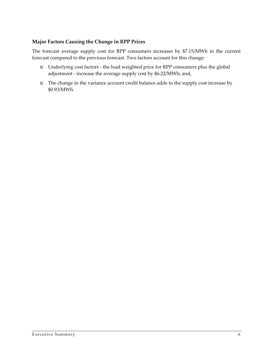#### **Major Factors Causing the Change in RPP Prices**

The forecast average supply cost for RPP consumers increases by \$7.15/MWh in the current forecast compared to the previous forecast. Two factors account for this change:

- o Underlying cost factors ‐ the load weighted price for RPP consumers plus the global adjustment ‐ increase the average supply cost by \$6.22/MWh; and,
- o The change in the variance account credit balance adds to the supply cost increase by \$0.93/MWh.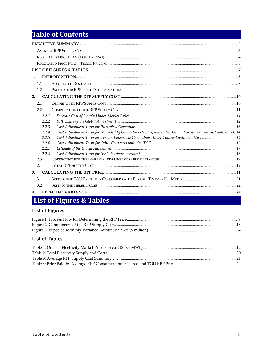## **Table of Contents**

| $\mathbf{1}$ .                                                                                                   |  |
|------------------------------------------------------------------------------------------------------------------|--|
| 1.1                                                                                                              |  |
| 1.2                                                                                                              |  |
| 2.                                                                                                               |  |
| 2.1                                                                                                              |  |
| 2.2                                                                                                              |  |
| 2.2.1                                                                                                            |  |
| 2.2.2                                                                                                            |  |
| 2.2.3                                                                                                            |  |
| Cost Adjustment Term for Non-Utility Generators (NUGs) and Other Generation under Contract with OEFC 14<br>2.2.4 |  |
| Cost Adjustment Term for Certain Renewable Generation Under Contract with the IESO  14<br>2.2.5                  |  |
| 2.2.6                                                                                                            |  |
| 2.2.7                                                                                                            |  |
| 2.2.8                                                                                                            |  |
| 2.3                                                                                                              |  |
| 2.4                                                                                                              |  |
| 3.                                                                                                               |  |
| 3.1                                                                                                              |  |
| 3.2                                                                                                              |  |
| 4.                                                                                                               |  |

## List of Figures & Tables

#### **List of Figures**

#### **List of Tables**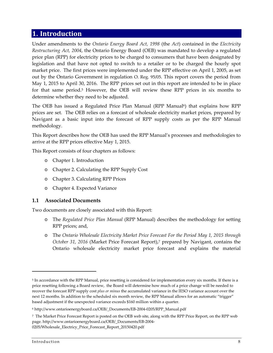#### **1. Introduction**

Under amendments to the *Ontario Energy Board Act, 1998* (the *Act*) contained in the *Electricity Restructuring Act, 2004*, the Ontario Energy Board (OEB) was mandated to develop a regulated price plan (RPP) for electricity prices to be charged to consumers that have been designated by legislation and that have not opted to switch to a retailer or to be charged the hourly spot market price. The first prices were implemented under the RPP effective on April 1, 2005, as set out by the Ontario Government in regulation O. Reg. 95/05. This report covers the period from May 1, 2015 to April 30, 2016. The RPP prices set out in this report are intended to be in place for that same period.<sup>5</sup> However, the OEB will review these RPP prices in six months to determine whether they need to be adjusted.

The OEB has issued a Regulated Price Plan Manual (RPP Manual<sup>6</sup>) that explains how RPP prices are set. The OEB relies on a forecast of wholesale electricity market prices, prepared by Navigant as a basic input into the forecast of RPP supply costs as per the RPP Manual methodology.

This Report describes how the OEB has used the RPP Manual's processes and methodologies to arrive at the RPP prices effective May 1, 2015.

This Report consists of four chapters as follows:

- o Chapter 1. Introduction
- o Chapter 2. Calculating the RPP Supply Cost
- o Chapter 3. Calculating RPP Prices
- o Chapter 4. Expected Variance

#### **1.1 Associated Documents**

<u> 1989 - Johann Stein, marwolaethau a bhann an t-Amhair Aonaichte an t-Amhair Aonaichte an t-Amhair Aonaichte a</u>

Two documents are closely associated with this Report:

- o The *Regulated Price Plan Manual* (RPP Manual) describes the methodology for setting RPP prices; and,
- o The *Ontario Wholesale Electricity Market Price Forecast For the Period May 1, 2015 through October 31, 2016* (Market Price Forecast Report),<sup>7</sup> prepared by Navigant, contains the Ontario wholesale electricity market price forecast and explains the material

<sup>5</sup> In accordance with the RPP Manual, price resetting is considered for implementation every six months. If there is a price resetting following a Board review, the Board will determine how much of a price change will be needed to recover the forecast RPP supply cost *plus or minus* the accumulated variance in the IESO variance account over the next 12 months. In addition to the scheduled six month review, the RPP Manual allows for an automatic "trigger" based adjustment if the unexpected variance exceeds \$160 million within a quarter.

<sup>6</sup> http://www.ontarioenergyboard.ca/OEB/\_Documents/EB‐2004‐0205/RPP\_Manual.pdf

<sup>7</sup> The Market Price Forecast Report is posted on the OEB web site, along with the RPP Price Report, on the RPP web page. http://www.ontarioenergyboard.ca/OEB/\_Documents/EB‐2004‐ 0205/Wholesale\_Electricy\_Price\_Forecast\_Report\_20150420.pdf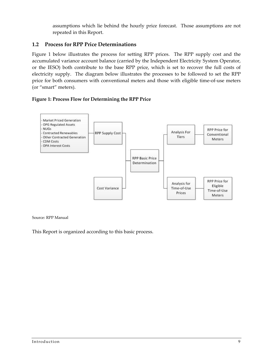assumptions which lie behind the hourly price forecast. Those assumptions are not repeated in this Report.

#### **1.2 Process for RPP Price Determinations**

Figure 1 below illustrates the process for setting RPP prices. The RPP supply cost and the accumulated variance account balance (carried by the Independent Electricity System Operator, or the IESO) both contribute to the base RPP price, which is set to recover the full costs of electricity supply. The diagram below illustrates the processes to be followed to set the RPP price for both consumers with conventional meters and those with eligible time‐of‐use meters (or "smart" meters).

#### **Figure 1: Process Flow for Determining the RPP Price**



#### Source: RPP Manual

This Report is organized according to this basic process.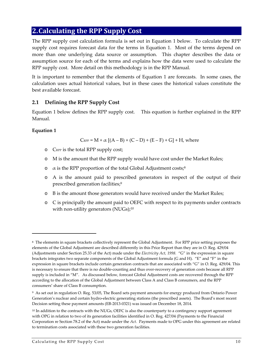### **2.Calculating the RPP Supply Cost**

The RPP supply cost calculation formula is set out in Equation 1 below. To calculate the RPP supply cost requires forecast data for the terms in Equation 1. Most of the terms depend on more than one underlying data source or assumption. This chapter describes the data or assumption source for each of the terms and explains how the data were used to calculate the RPP supply cost. More detail on this methodology is in the RPP Manual.

It is important to remember that the elements of Equation 1 are forecasts. In some cases, the calculation uses actual historical values, but in these cases the historical values constitute the best available forecast.

#### **2.1 Defining the RPP Supply Cost**

Equation 1 below defines the RPP supply cost. This equation is further explained in the RPP Manual.

#### **Equation 1**

 $C_{RPP} = M + \alpha [(A - B) + (C - D) + (E - F) + G] + H$ , where

- o CRPP is the total RPP supply cost;
- o M is the amount that the RPP supply would have cost under the Market Rules;
- $\alpha$  is the RPP proportion of the total Global Adjustment costs;<sup>8</sup>
- o A is the amount paid to prescribed generators in respect of the output of their prescribed generation facilities;<sup>9</sup>
- o B is the amount those generators would have received under the Market Rules;
- o C is principally the amount paid to OEFC with respect to its payments under contracts with non-utility generators (NUGs);<sup>10</sup>

<sup>8</sup> The elements in square brackets collectively represent the Global Adjustment. For RPP price setting purposes the elements of the Global Adjustment are described differently in this Price Report than they are in O. Reg. 429/04 (Adjustments under Section 25.33 of the Act) made under the *Electricity Act, 1998.* "G" in the expression in square brackets integrates two separate components of the Global Adjustment formula (G and H). "E" and "F" in the expression in square brackets include certain generation contracts that are associated with "G" in O. Reg. 429/04. This is necessary to ensure that there is no double‐counting and thus over‐recovery of generation costs because all RPP supply is included in "M". As discussed below, forecast Global Adjustment costs are recovered through the RPP according to the allocation of the Global Adjustment between Class A and Class B consumers, and the RPP consumers' share of Class B consumption.

<sup>9</sup> As set out in regulation O. Reg. 53/05, The Board sets payment amounts for energy produced from Ontario Power Generation's nuclear and certain hydro‐electric generating stations (the prescribed assets). The Board's most recent Decision setting these payment amounts (EB‐2013‐0321) was issued on December 18, 2014.

<sup>10</sup> In addition to the contracts with the NUGs, OEFC is also the counterparty to a contingency support agreement with OPG in relation to two of its generation facilities identified in O. Reg. 427/04 (Payments to the Financial Corporation re Section 78.2 of the Act) made under the Act. Payments made to OPG under this agreement are related to termination costs associated with these two generation facilities.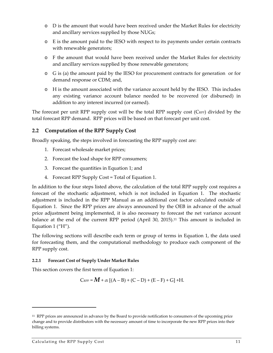- o D is the amount that would have been received under the Market Rules for electricity and ancillary services supplied by those NUGs;
- o E is the amount paid to the IESO with respect to its payments under certain contracts with renewable generators;
- o F the amount that would have been received under the Market Rules for electricity and ancillary services supplied by those renewable generators;
- o G is (a) the amount paid by the IESO for procurement contracts for generation or for demand response or CDM; and,
- o H is the amount associated with the variance account held by the IESO. This includes any existing variance account balance needed to be recovered (or disbursed) in addition to any interest incurred (or earned).

The forecast per unit RPP supply cost will be the total RPP supply cost  $(C_{RPP})$  divided by the total forecast RPP demand. RPP prices will be based on that forecast per unit cost.

#### **2.2 Computation of the RPP Supply Cost**

Broadly speaking, the steps involved in forecasting the RPP supply cost are:

- 1. Forecast wholesale market prices;
- 2. Forecast the load shape for RPP consumers;
- 3. Forecast the quantities in Equation 1; and
- 4. Forecast RPP Supply Cost = Total of Equation 1.

In addition to the four steps listed above, the calculation of the total RPP supply cost requires a forecast of the stochastic adjustment, which is not included in Equation 1. The stochastic adjustment is included in the RPP Manual as an additional cost factor calculated outside of Equation 1. Since the RPP prices are always announced by the OEB in advance of the actual price adjustment being implemented, it is also necessary to forecast the net variance account balance at the end of the current RPP period (April 30, 2015).<sup>11</sup> This amount is included in Equation 1 ("H").

The following sections will describe each term or group of terms in Equation 1, the data used for forecasting them, and the computational methodology to produce each component of the RPP supply cost.

#### **2.2.1 Forecast Cost of Supply Under Market Rules**

This section covers the first term of Equation 1:

$$
C_{\text{RPP}} = M + \alpha [(A - B) + (C - D) + (E - F) + G] + H.
$$

<sup>11</sup> RPP prices are announced in advance by the Board to provide notification to consumers of the upcoming price change and to provide distributors with the necessary amount of time to incorporate the new RPP prices into their billing systems.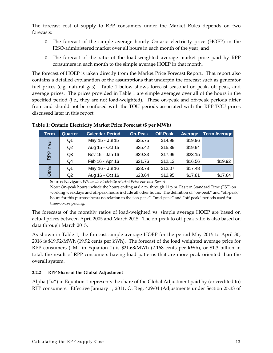The forecast cost of supply to RPP consumers under the Market Rules depends on two forecasts:

- o The forecast of the simple average hourly Ontario electricity price (HOEP) in the IESO‐administered market over all hours in each month of the year; and
- o The forecast of the ratio of the load‐weighted average market price paid by RPP consumers in each month to the simple average HOEP in that month.

The forecast of HOEP is taken directly from the Market Price Forecast Report. That report also contains a detailed explanation of the assumptions that underpin the forecast such as generator fuel prices (e.g. natural gas). Table 1 below shows forecast seasonal on-peak, off-peak, and average prices. The prices provided in Table 1 are simple averages over all of the hours in the specified period (i.e., they are not load-weighted). These on-peak and off-peak periods differ from and should not be confused with the TOU periods associated with the RPP TOU prices discussed later in this report.

| Term  | Quarter | <b>Calendar Period</b> | <b>On-Peak</b> | <b>Off-Peak</b> | Average | Term Average |
|-------|---------|------------------------|----------------|-----------------|---------|--------------|
|       | Q1      | May 15 - Jul 15        | \$25.75        | \$14.98         | \$19.96 |              |
| Year  | Q2      | Aug 15 - Oct 15        | \$25.42        | \$15.39         | \$19.94 |              |
| RPP   | Q3      | Nov 15 - Jan 16        | \$29.33        | \$17.99         | \$23.15 |              |
|       | Q4      | Feb 16 - Apr 16        | \$21.76        | \$12.13         | \$16.56 | \$19.92      |
| Other | Q1      | May 16 - Jul 16        | \$23.78        | \$12.07         | \$17.48 |              |
|       | Q2      | Aug 16 - Oct 16        | \$23.64        | \$12.95         | \$17.81 | \$17.64      |

#### **Table 1: Ontario Electricity Market Price Forecast (\$ per MWh)**

Source: Navigant, *Wholesale Electricity Market Price Forecast Report*

Note: On‐peak hours include the hours ending at 8 a.m. through 11 p.m. Eastern Standard Time (EST) on working weekdays and off-peak hours include all other hours. The definition of "on-peak" and "off-peak" hours for this purpose bears no relation to the "on-peak", "mid-peak" and "off-peak" periods used for time‐of‐use pricing.

The forecasts of the monthly ratios of load-weighted vs. simple average HOEP are based on actual prices between April 2005 and March 2015. The on‐peak to off‐peak ratio is also based on data through March 2015.

As shown in Table 1, the forecast simple average HOEP for the period May 2015 to April 30, 2016 is \$19.92/MWh (19.92 cents per kWh). The forecast of the load weighted average price for RPP consumers ("M" in Equation 1) is \$21.68/MWh (2.168 cents per kWh), or \$1.3 billion in total, the result of RPP consumers having load patterns that are more peak oriented than the overall system.

#### **2.2.2 RPP Share of the Global Adjustment**

Alpha (" $\alpha$ ") in Equation 1 represents the share of the Global Adjustment paid by (or credited to) RPP consumers. Effective January 1, 2011, O. Reg. 429/04 (Adjustments under Section 25.33 of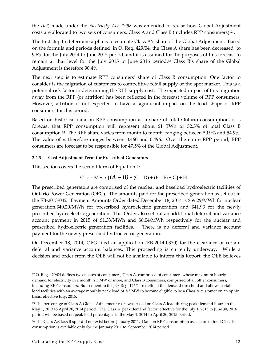the *Act*) made under the *Electricity Act, 1998* was amended to revise how Global Adjustment costs are allocated to two sets of consumers, Class A and Class B (includes RPP consumers)<sup>12</sup> .

The first step to determine alpha is to estimate Class A's share of the Global Adjustment. Based on the formula and periods defined in O. Reg. 429/04, the Class A share has been decreased to 9.6% for the July 2014 to June 2015 period; and it is assumed for the purposes of this forecast to remain at that level for the July 2015 to June 2016 period.<sup>13</sup> Class B's share of the Global Adjustment is therefore 90.4%.

The next step is to estimate RPP consumers' share of Class B consumption. One factor to consider is the migration of customers to competitive retail supply or the spot market. This is a potential risk factor in determining the RPP supply cost. The expected impact of this migration away from the RPP (or attrition) has been reflected in the forecast volume of RPP consumers. However, attrition is not expected to have a significant impact on the load shape of RPP consumers for this period.

Based on historical data on RPP consumption as a share of total Ontario consumption, it is forecast that RPP consumption will represent about 61 TWh or 52.5% of total Class B consumption.<sup>14</sup> The RPP share varies from month to month, ranging between 50.9% and 54.9%. The value of **α**  therefore ranges between 0.460 and 0.496. Over the entire RPP period, RPP consumers are forecast to be responsible for 47.5% of the Global Adjustment.

#### **2.2.3 Cost Adjustment Term for Prescribed Generators**

This section covers the second term of Equation 1:

$$
\text{C}_{\text{RPP}} = \text{M} + \alpha \left[ \left( A - B \right) + \left( \text{C} - \text{D} \right) + \left( \text{E} - \text{F} \right) + \text{G} \right] + \text{H}
$$

The prescribed generators are comprised of the nuclear and baseload hydroelectric facilities of Ontario Power Generation (OPG). The amounts paid for the prescribed generation as set out in the EB‐2013‐0321 Payment Amounts Order dated December 18, 2014 is \$59.29/MWh for nuclear generation,\$40.20/MWh for prescribed hydroelectric generation and \$41.93 for the newly prescribed hydroelectric generation. This Order also set out an additional deferral and variance account payment in 2015 of \$1.33/MWh and \$6.04/MWh respectively for the nuclear and prescribed hydroelectric generation facilities. There is no deferral and variance account payment for the newly prescribed hydroelectric generation.

On December 18, 2014, OPG filed an application (EB‐2014‐0370) for the clearance of certain deferral and variance account balances. This proceeding is currently underway. While a decision and order from the OEB will not be available to inform this Report, the OEB believes

<sup>12</sup> O. Reg. 429/04 defines two classes of consumers; Class A, comprised of consumers whose maximum hourly demand for electricity in a month is 5 MW or more; and Class B consumers, comprised of all other consumers, including RPP consumers. Subsequent to this, O. Reg. 126/14 redefined the demand threshold and allows certain load facilities with an average monthly peak load of 3-5 MW to become eligible to be a Class A customer on an opt-in basis, effective July, 2015.

<sup>13</sup> The percentage of Class A Global Adjustment costs was based on Class A load during peak demand hours in the May 1, 2013 to April 30, 2014 period. The Class A peak demand factor effective for the July 1, 2015 to June 30, 2016 period will be based on peak load percentages in the May 1, 2014 to April 30, 2015 period.

<sup>14</sup> The Class A/Class B split did not exist before January 2011. Data on RPP consumption as a share of total Class B consumption is available only for the January 2011 to September 2014 period.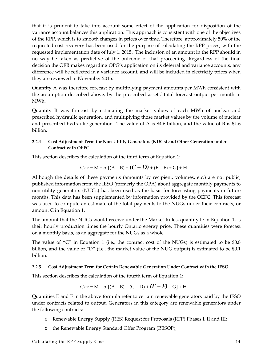that it is prudent to take into account some effect of the application for disposition of the variance account balances this application. This approach is consistent with one of the objectives of the RPP, which is to smooth changes in prices over time. Therefore, approximately 50% of the requested cost recovery has been used for the purpose of calculating the RPP prices, with the requested implementation date of July 1, 2015. The inclusion of an amount in the RPP should in no way be taken as predictive of the outcome of that proceeding. Regardless of the final decision the OEB makes regarding OPG's application on its deferral and variance accounts, any difference will be reflected in a variance account, and will be included in electricity prices when they are reviewed in November 2015.

Quantity A was therefore forecast by multiplying payment amounts per MWh consistent with the assumption described above, by the prescribed assets' total forecast output per month in MWh.

Quantity B was forecast by estimating the market values of each MWh of nuclear and prescribed hydraulic generation, and multiplying those market values by the volume of nuclear and prescribed hydraulic generation. The value of A is \$4.6 billion, and the value of B is \$1.6 billion.

#### **2.2.4 Cost Adjustment Term for Non‐Utility Generators (NUGs) and Other Generation under Contract with OEFC**

This section describes the calculation of the third term of Equation 1:

$$
C_{\text{RPP}} = M + \alpha \left[ (A - B) + (C - D) + (E - F) + G \right] + H
$$

Although the details of these payments (amounts by recipient, volumes, etc.) are not public, published information from the IESO (formerly the OPA) about aggregate monthly payments to non-utility generators (NUGs) has been used as the basis for forecasting payments in future months. This data has been supplemented by information provided by the OEFC. This forecast was used to compute an estimate of the total payments to the NUGs under their contracts, or amount C in Equation 1.

The amount that the NUGs would receive under the Market Rules, quantity D in Equation 1, is their hourly production times the hourly Ontario energy price. These quantities were forecast on a monthly basis, as an aggregate for the NUGs as a whole.

The value of "C" in Equation 1 (i.e., the contract cost of the NUGs) is estimated to be  $$0.8$ billion, and the value of "D" (i.e., the market value of the NUG output) is estimated to be \$0.1 billion.

#### **2.2.5 Cost Adjustment Term for Certain Renewable Generation Under Contract with the IESO**

This section describes the calculation of the fourth term of Equation 1:

$$
C_{\text{RPP}} = M + \alpha [(A - B) + (C - D) + (E - F) + G] + H
$$

Quantities E and F in the above formula refer to certain renewable generators paid by the IESO under contracts related to output. Generators in this category are renewable generators under the following contracts:

- o Renewable Energy Supply (RES) Request for Proposals (RFP) Phases I, II and III;
- o the Renewable Energy Standard Offer Program (RESOP);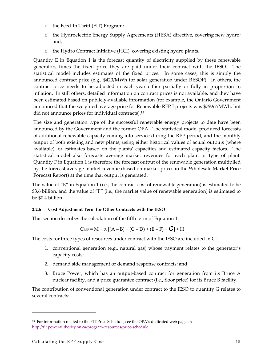- o the Feed‐In Tariff (FIT) Program;
- o the Hydroelectric Energy Supply Agreements (HESA) directive, covering new hydro; and,
- o the Hydro Contract Initiative (HCI), covering existing hydro plants.

Quantity E in Equation 1 is the forecast quantity of electricity supplied by these renewable generators times the fixed price they are paid under their contract with the IESO. The statistical model includes estimates of the fixed prices. In some cases, this is simply the announced contract price (e.g., \$420/MWh for solar generation under RESOP). In others, the contract price needs to be adjusted in each year either partially or fully in proportion to inflation. In still others, detailed information on contract prices is not available, and they have been estimated based on publicly‐available information (for example, the Ontario Government announced that the weighted average price for Renewable RFP I projects was \$79.97/MWh, but did not announce prices for individual contracts).<sup>15</sup>

The size and generation type of the successful renewable energy projects to date have been announced by the Government and the former OPA. The statistical model produced forecasts of additional renewable capacity coming into service during the RPP period, and the monthly output of both existing and new plants, using either historical values of actual outputs (where available), or estimates based on the plants' capacities and estimated capacity factors. The statistical model also forecasts average market revenues for each plant or type of plant. Quantity F in Equation 1 is therefore the forecast output of the renewable generation multiplied by the forecast average market revenue (based on market prices in the Wholesale Market Price Forecast Report) at the time that output is generated.

The value of "E" in Equation 1 (i.e., the contract cost of renewable generation) is estimated to be \$3.6 billion, and the value of "F" (i.e., the market value of renewable generation) is estimated to be \$0.4 billion.

#### **2.2.6 Cost Adjustment Term for Other Contracts with the IESO**

This section describes the calculation of the fifth term of Equation 1:

$$
C_{\text{RPP}} = M + \alpha \left[ (A-B) + (C-D) + (E-F) + G \right] + H
$$

The costs for three types of resources under contract with the IESO are included in G:

- 1. conventional generation (e.g., natural gas) whose payment relates to the generator's capacity costs;
- 2. demand side management or demand response contracts; and
- 3. Bruce Power, which has an output‐based contract for generation from its Bruce A nuclear facility, and a price guarantee contract (i.e., floor price) for its Bruce B facility.

The contribution of conventional generation under contract to the IESO to quantity G relates to several contracts:

<u> 1989 - Johann Stein, marwolaethau a bhann an t-Albann an t-Albann an t-Albann an t-Albann an t-Albann an t-Alb</u>

<sup>15</sup> For information related to the FIT Price Schedule, see the OPA's dedicated web page at: http://fit.powerauthority.on.ca/program‐resources/price‐schedule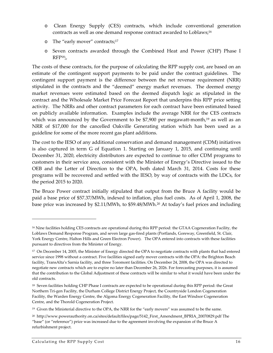- o Clean Energy Supply (CES) contracts, which include conventional generation contracts as well as one demand response contract awarded to Loblaws;<sup>16</sup>
- o The "early mover" contracts;<sup>17</sup>
- o Seven contracts awarded through the Combined Heat and Power (CHP) Phase I  $RFP<sub>18</sub>$ ;

The costs of these contracts, for the purpose of calculating the RPP supply cost, are based on an estimate of the contingent support payments to be paid under the contract guidelines. The contingent support payment is the difference between the net revenue requirement (NRR) stipulated in the contracts and the "deemed" energy market revenues. The deemed energy market revenues were estimated based on the deemed dispatch logic as stipulated in the contract and the Wholesale Market Price Forecast Report that underpins this RPP price setting activity. The NRRs and other contract parameters for each contract have been estimated based on publicly available information. Examples include the average NRR for the CES contracts which was announced by the Government to be  $$7,900$  per megawatt-month,<sup>19</sup> as well as an NRR of \$17,000 for the cancelled Oakville Generating station which has been used as a guideline for some of the more recent gas plant additions.

The cost to the IESO of any additional conservation and demand management (CDM) initiatives is also captured in term G of Equation 1. Starting on January 1, 2015, and continuing until December 31, 2020, electricity distributors are expected to continue to offer CDM programs to customers in their service area, consistent with the Minister of Energy's Directive issued to the OEB and the Letter of Direction to the OPA, both dated March 31, 2014. Costs for these programs will be recovered and settled with the IESO, by way of contracts with the LDCs, for the period 2015 to 2020.

The Bruce Power contract initially stipulated that output from the Bruce A facility would be paid a base price of \$57.37/MWh, indexed to inflation, plus fuel costs. As of April 1, 2008, the base price was increased by \$2.11/MWh, to \$59.48/MWh.<sup>20</sup> At today's fuel prices and including

<sup>16</sup> Nine facilities holding CES contracts are operational during this RPP period: the GTAA Cogeneration Facility, the Loblaws Demand Response Program, and seven large gas‐fired plants (Portlands, Goreway, Greenfield, St. Clair, York Energy Centre, Halton Hills and Green Electron Power). The OPA entered into contracts with these facilities pursuant to directives from the Minister of Energy.

<sup>17</sup> On December 14, 2005, the Minister of Energy directed the OPA to negotiate contracts with plants that had entered service since 1998 without a contract. Five facilities signed early mover contracts with the OPA: the Brighton Beach facility, TransAlta's Sarnia facility, and three Toromont facilities. On December 24, 2008, the OPA was directed to negotiate new contracts which are to expire no later than December 26, 2026. For forecasting purposes, it is assumed that the contribution to the Global Adjustment of these contracts will be similar to what it would have been under the old contracts.

<sup>18</sup> Seven facilities holding CHP Phase I contracts are expected to be operational during this RPP period: the Great Northern Tri‐gen Facility, the Durham College District Energy Project, the Countryside London Cogeneration Facility, the Warden Energy Centre, the Algoma Energy Cogeneration Facility, the East Windsor Cogeneration Centre, and the Thorold Cogeneration Project.

<sup>&</sup>lt;sup>19</sup> Given the Ministerial directive to the OPA, the NRR for the "early movers" was assumed to be the same.

<sup>20</sup> http://www.powerauthority.on.ca/sites/default/files/page/5142\_First\_Amendment\_BPRIA\_20070829.pdf The "base" (or "reference") price was increased due to the agreement involving the expansion of the Bruce A refurbishment project.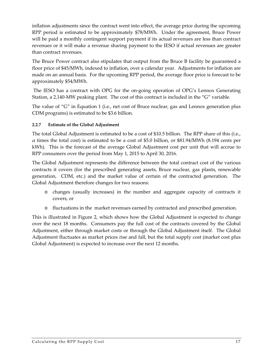inflation adjustments since the contract went into effect, the average price during the upcoming RPP period is estimated to be approximately \$78/MWh. Under the agreement, Bruce Power will be paid a monthly contingent support payment if its actual revenues are less than contract revenues or it will make a revenue sharing payment to the IESO if actual revenues are greater than contract revenues.

The Bruce Power contract also stipulates that output from the Bruce B facility be guaranteed a floor price of \$45/MWh, indexed to inflation, over a calendar year. Adjustments for inflation are made on an annual basis. For the upcoming RPP period, the average floor price is forecast to be approximately \$54/MWh.

The IESO has a contract with OPG for the on-going operation of OPG's Lennox Generating Station, a 2,140-MW peaking plant. The cost of this contract is included in the "G" variable.

The value of "G" in Equation 1 (i.e., net cost of Bruce nuclear, gas and Lennox generation plus CDM programs) is estimated to be \$3.6 billion.

#### **2.2.7 Estimate of the Global Adjustment**

The total Global Adjustment is estimated to be a cost of \$10.5 billion. The RPP share of this (i.e.,  $\alpha$  times the total cost) is estimated to be a cost of \$5.0 billion, or \$81.94/MWh (8.194 cents per kWh). This is the forecast of the average Global Adjustment cost per unit that will accrue to RPP consumers over the period from May 1, 2015 to April 30, 2016.

The Global Adjustment represents the difference between the total contract cost of the various contracts it covers (for the prescribed generating assets, Bruce nuclear, gas plants, renewable generation, CDM, etc.) and the market value of certain of the contracted generation. The Global Adjustment therefore changes for two reasons:

- o changes (usually increases) in the number and aggregate capacity of contracts it covers, or
- o fluctuations in the market revenues earned by contracted and prescribed generation.

This is illustrated in Figure 2, which shows how the Global Adjustment is expected to change over the next 18 months. Consumers pay the full cost of the contracts covered by the Global Adjustment, either through market costs or through the Global Adjustment itself. The Global Adjustment fluctuates as market prices rise and fall, but the total supply cost (market cost plus Global Adjustment) is expected to increase over the next 12 months.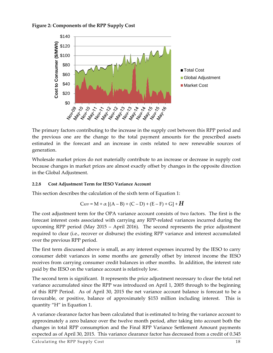



The primary factors contributing to the increase in the supply cost between this RPP period and the previous one are the change to the total payment amounts for the prescribed assets estimated in the forecast and an increase in costs related to new renewable sources of generation.

Wholesale market prices do not materially contribute to an increase or decrease in supply cost because changes in market prices are almost exactly offset by changes in the opposite direction in the Global Adjustment.

#### **2.2.8 Cost Adjustment Term for IESO Variance Account**

This section describes the calculation of the sixth term of Equation 1:

$$
C_{\text{RPP}} = M + \alpha \left[ (A - B) + (C - D) + (E - F) + G \right] + H
$$

The cost adjustment term for the OPA variance account consists of two factors. The first is the forecast interest costs associated with carrying any RPP‐related variances incurred during the upcoming RPP period (May 2015 – April 2016). The second represents the price adjustment required to clear (i.e., recover or disburse) the existing RPP variance and interest accumulated over the previous RPP period.

The first term discussed above is small, as any interest expenses incurred by the IESO to carry consumer debit variances in some months are generally offset by interest income the IESO receives from carrying consumer credit balances in other months. In addition, the interest rate paid by the IESO on the variance account is relatively low.

The second term is significant. It represents the price adjustment necessary to clear the total net variance accumulated since the RPP was introduced on April 1, 2005 through to the beginning of this RPP Period. As of April 30, 2015 the net variance account balance is forecast to be a favourable, or positive, balance of approximately \$153 million including interest. This is quantity "H" in Equation 1.

A variance clearance factor has been calculated that is estimated to bring the variance account to approximately a zero balance over the twelve month period, after taking into account both the changes in total RPP consumption and the Final RPP Variance Settlement Amount payments expected as of April 30, 2015. This variance clearance factor has decreased from a credit of 0.345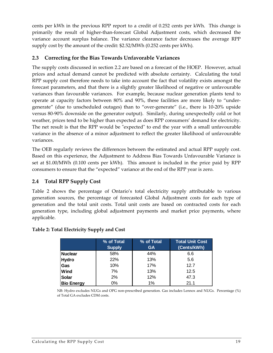cents per kWh in the previous RPP report to a credit of 0.252 cents per kWh. This change is primarily the result of higher‐than‐forecast Global Adjustment costs, which decreased the variance account surplus balance. The variance clearance factor decreases the average RPP supply cost by the amount of the credit: \$2.52/MWh (0.252 cents per kWh).

#### **2.3 Correcting for the Bias Towards Unfavorable Variances**

The supply costs discussed in section 2.2 are based on a forecast of the HOEP. However, actual prices and actual demand cannot be predicted with absolute certainty. Calculating the total RPP supply cost therefore needs to take into account the fact that volatility exists amongst the forecast parameters, and that there is a slightly greater likelihood of negative or unfavourable variances than favourable variances. For example, because nuclear generation plants tend to operate at capacity factors between 80% and 90%, these facilities are more likely to "under‐ generate" (due to unscheduled outages) than to "over‐generate" (i.e., there is 10‐20% upside versus 80‐90% downside on the generator output). Similarly, during unexpectedly cold or hot weather, prices tend to be higher than expected as does RPP consumers' demand for electricity. The net result is that the RPP would be "expected" to end the year with a small unfavourable variance in the absence of a minor adjustment to reflect the greater likelihood of unfavourable variances.

The OEB regularly reviews the differences between the estimated and actual RPP supply cost. Based on this experience, the Adjustment to Address Bias Towards Unfavourable Variance is set at \$1.00/MWh (0.100 cents per kWh). This amount is included in the price paid by RPP consumers to ensure that the "expected" variance at the end of the RPP year is zero.

#### **2.4 Total RPP Supply Cost**

Table 2 shows the percentage of Ontario's total electricity supply attributable to various generation sources, the percentage of forecasted Global Adjustment costs for each type of generation and the total unit costs. Total unit costs are based on contracted costs for each generation type, including global adjustment payments and market price payments, where applicable.

|                   | % of Total<br><b>Supply</b> | % of Total<br><b>GA</b> | <b>Total Unit Cost</b><br>(Cents/kWh) |
|-------------------|-----------------------------|-------------------------|---------------------------------------|
| <b>Nuclear</b>    | 58%                         | 44%                     | 6.6                                   |
| <b>Hydro</b>      | 22%                         | 13%                     | 5.6                                   |
| Gas               | 10%                         | 17%                     | 12.7                                  |
| Wind              | 7%                          | 13%                     | 12.5                                  |
| Solar             | 2%                          | 12%                     | 47.3                                  |
| <b>Bio Energy</b> | $0\%$                       | 1%                      | 21.1                                  |

#### **Table 2: Total Electricity Supply and Cost**

NB: Hydro excludes NUGs and OPG non-prescribed generation. Gas includes Lennox and NUGs. Percentage (%) of Total GA excludes CDM costs.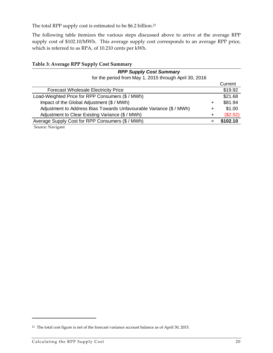The total RPP supply cost is estimated to be \$6.2 billion.<sup>21</sup>

The following table itemizes the various steps discussed above to arrive at the average RPP supply cost of \$102.10/MWh. This average supply cost corresponds to an average RPP price, which is referred to as RPA, of 10.210 cents per kWh.

|  |  |  |  | Table 3: Average RPP Supply Cost Summary |
|--|--|--|--|------------------------------------------|
|--|--|--|--|------------------------------------------|

| <b>RPP Supply Cost Summary</b>                                      |   |          |
|---------------------------------------------------------------------|---|----------|
| for the period from May 1, 2015 through April 30, 2016              |   |          |
|                                                                     |   | Current  |
| <b>Forecast Wholesale Electricity Price</b>                         |   | \$19.92  |
| Load-Weighted Price for RPP Consumers (\$ / MWh)                    |   | \$21.68  |
| Impact of the Global Adjustment (\$ / MWh)                          | ┿ | \$81.94  |
| Adjustment to Address Bias Towards Unfavourable Variance (\$ / MWh) | + | \$1.00   |
| Adjustment to Clear Existing Variance (\$ / MWh)                    | + | (\$2.52) |
| Average Supply Cost for RPP Consumers (\$ / MWh)                    |   | \$102.10 |
| Source: Navigant                                                    |   |          |

<sup>&</sup>lt;sup>21</sup> The total cost figure is net of the forecast variance account balance as of April 30, 2015.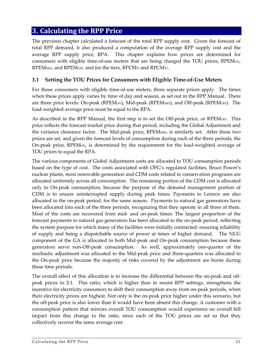#### **3. Calculating the RPP Price**

The previous chapter calculated a forecast of the total RPP supply cost. Given the forecast of total RPP demand, it also produced a computation of the average RPP supply cost and the average RPP supply price, RPA. This chapter explains how prices are determined for consumers with eligible time-of-use meters that are being charged the TOU prices, RPEM<sub>ON</sub>, RPEM<sub>MID</sub>, and RPEM<sub>OFF</sub>, and for the tiers, RPCM<sub>T1</sub> and RPCM<sub>T2</sub>.

#### **3.1 Setting the TOU Prices for Consumers with Eligible Time‐of‐Use Meters**

For those consumers with eligible time-of-use meters, three separate prices apply. The times when these prices apply varies by time of day and season, as set out in the RPP Manual. There are three price levels: On-peak (RPEM<sub>ON</sub>), Mid-peak (RPEM<sub>MID</sub>), and Off-peak (RPEM<sub>OFF</sub>). The load‐weighted average price must be equal to the RPA.

As described in the RPP Manual, the first step is to set the Off-peak price, or RPEMOFF. This price reflects the forecast market price during that period, including the Global Adjustment and the variance clearance factor. The Mid-peak price, RPEMMID, is similarly set. After these two prices are set, and given the forecast levels of consumption during each of the three periods, the On-peak price, RPEM<sub>ON</sub>, is determined by the requirement for the load-weighted average of TOU prices to equal the RPA.

The various components of Global Adjustment costs are allocated to TOU consumption periods based on the type of cost. The costs associated with OPG's regulated facilities, Bruce Power's nuclear plants, most renewable generation and CDM costs related to conservation programs are allocated uniformly across all consumption. The remaining portion of the CDM cost is allocated only to On‐peak consumption, because the purpose of the demand management portion of CDM is to ensure uninterrupted supply during peak times. Payments to Lennox are also allocated to the on‐peak period, for the same reason. Payments to natural gas generators have been allocated into each of the three periods, recognizing that they operate in all three of them. Most of the costs are recovered from mid‐ and on‐peak times. The largest proportion of the forecast payments to natural gas generators has been allocated to the on‐peak period, reflecting the system purpose for which many of the facilities were initially contracted: ensuring reliability of supply and being a dispatchable source of power at times of higher demand. The NUG component of the GA is allocated to both Mid-peak and On-peak consumption because these generators serve non‐Off‐peak consumption. As well, approximately one‐quarter of the stochastic adjustment was allocated to the Mid‐peak price and three‐quarters was allocated to the On‐peak price because the majority of risks covered by the adjustment are borne during these time periods.

The overall effect of this allocation is to increase the differential between the on-peak and offpeak prices to 2:1. This ratio, which is higher than in recent RPP settings, strengthens the incentive for electricity consumers to shift their consumption away from on‐peak periods, when their electricity prices are highest. Not only is the on‐peak price higher under this scenario, but the off‐peak price is also lower than it would have been absent this change. A customer with a consumption pattern that mirrors overall TOU consumption would experience no overall bill impact from this change to the ratio, since each of the TOU prices are set so that they collectively recover the same average cost.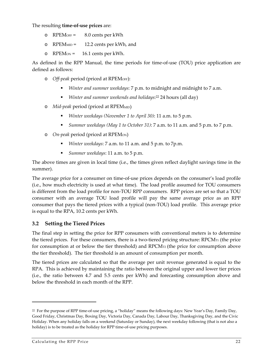The resulting **time‐of‐use prices** are:

- o RPEMOFF = 8.0 cents per kWh
- o RPEM<sub>MID</sub> = 12.2 cents per kWh, and
- o RPEMON = 16.1 cents per kWh.

As defined in the RPP Manual, the time periods for time-of-use (TOU) price application are defined as follows:

- o *Off‐peak* period (priced at RPEMOFF):
	- *Winter and summer weekdays*: 7 p.m. to midnight and midnight to 7 a.m.
	- *Winter and summer weekends and holidays*:<sup>22</sup> 24 hours (all day)
- o *Mid‐peak* period (priced at RPEMMID)
	- *Winter weekdays (November 1 to April 30)*: 11 a.m. to 5 p.m.
	- *Summer weekdays (May 1 to October 31)*: 7 a.m. to 11 a.m. and 5 p.m. to 7 p.m.
- o *On‐peak* period (priced at RPEMON)
	- *Winter weekdays*: 7 a.m. to 11 a.m. and 5 p.m. to 7p.m.
	- *Summer weekdays*: 11 a.m. to 5 p.m.

The above times are given in local time (i.e., the times given reflect daylight savings time in the summer).

The average price for a consumer on time‐of‐use prices depends on the consumer's load profile (i.e., how much electricity is used at what time). The load profile assumed for TOU consumers is different from the load profile for non‐TOU RPP consumers. RPP prices are set so that a TOU consumer with an average TOU load profile will pay the same average price as an RPP consumer that pays the tiered prices with a typical (non‐TOU) load profile. This average price is equal to the RPA, 10.2 cents per kWh.

#### **3.2 Setting the Tiered Prices**

The final step in setting the price for RPP consumers with conventional meters is to determine the tiered prices. For these consumers, there is a two-tiered pricing structure:  $\text{RPCM}_{\text{TI}}$  (the price for consumption at or below the tier threshold) and RPCMT2 (the price for consumption above the tier threshold). The tier threshold is an amount of consumption per month.

The tiered prices are calculated so that the average per unit revenue generated is equal to the RPA. This is achieved by maintaining the ratio between the original upper and lower tier prices (i.e., the ratio between 4.7 and 5.5 cents per kWh) and forecasting consumption above and below the threshold in each month of the RPP.

<sup>22</sup> For the purpose of RPP time‐of‐use pricing, a "holiday" means the following days: New Year's Day, Family Day, Good Friday, Christmas Day, Boxing Day, Victoria Day, Canada Day, Labour Day, Thanksgiving Day, and the Civic Holiday. When any holiday falls on a weekend (Saturday or Sunday), the next weekday following (that is not also a holiday) is to be treated as the holiday for RPP time-of-use pricing purposes.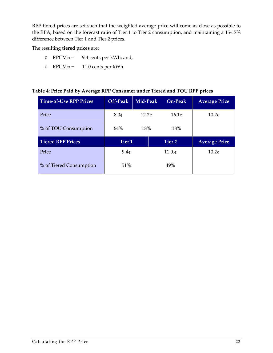RPP tiered prices are set such that the weighted average price will come as close as possible to the RPA, based on the forecast ratio of Tier 1 to Tier 2 consumption, and maintaining a 15-17% difference between Tier 1 and Tier 2 prices.

The resulting **tiered prices** are:

- o  $RPCM_{T1} = 9.4 \text{ cents per kWh}$ ; and,
- o RPCMT2 = 11.0 cents per kWh.

#### **Table 4: Price Paid by Average RPP Consumer under Tiered and TOU RPP prices**

| <b>Time-of-Use RPP Prices</b> | Off-Peak          | Mid-Peak | On-Peak         | <b>Average Price</b> |
|-------------------------------|-------------------|----------|-----------------|----------------------|
| Price                         | 8.0 <sub>¢</sub>  | 12.2c    | 16.1c           | 10.2 <sub>¢</sub>    |
| % of TOU Consumption          | 64%               | 18%      | 18%             |                      |
|                               |                   |          |                 |                      |
| <b>Tiered RPP Prices</b>      | Tier <sub>1</sub> |          | Tier 2          | <b>Average Price</b> |
| Price                         | 9.4c              |          | $11.0 \text{·}$ | 10.2 <sub>¢</sub>    |